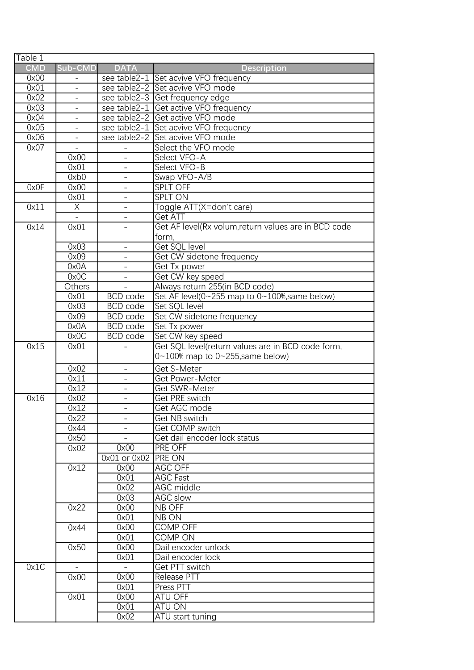| Table 1    |                          |                                            |                                                      |  |  |  |  |
|------------|--------------------------|--------------------------------------------|------------------------------------------------------|--|--|--|--|
| <b>CMD</b> | Sub-CMD                  | <b>DATA</b>                                | <b>Description</b>                                   |  |  |  |  |
| 0x00       |                          |                                            | see table2-1 Set acvive VFO frequency                |  |  |  |  |
| 0x01       |                          |                                            | see table <sup>2-2</sup> Set acvive VFO mode         |  |  |  |  |
| 0x02       | $\qquad \qquad -$        |                                            | see table2-3 Get frequency edge                      |  |  |  |  |
| 0x03       | $\qquad \qquad -$        |                                            | see table2-1 Get active VFO frequency                |  |  |  |  |
| 0x04       | $\overline{\phantom{a}}$ |                                            | see table2-2 Get active VFO mode                     |  |  |  |  |
| 0x05       | $\overline{\phantom{0}}$ |                                            | see table2-1 Set acvive VFO frequency                |  |  |  |  |
| 0x06       | $\overline{\phantom{0}}$ |                                            | see table2-2 Set acvive VFO mode                     |  |  |  |  |
| 0x07       |                          |                                            | Select the VFO mode                                  |  |  |  |  |
|            | 0x00                     |                                            | Select VFO-A                                         |  |  |  |  |
|            | 0x01                     |                                            | Select VFO-B                                         |  |  |  |  |
|            | 0xb0                     | $\blacksquare$                             | Swap VFO-A/B                                         |  |  |  |  |
| 0x0F       | 0x00                     | $\overline{a}$                             | <b>SPLT OFF</b>                                      |  |  |  |  |
|            | 0x01                     |                                            | <b>SPLT ON</b>                                       |  |  |  |  |
| 0x11       |                          | $\overline{X}$<br>Toggle ATT(X=don't care) |                                                      |  |  |  |  |
|            |                          | $\overline{\phantom{0}}$                   | <b>Get ATT</b>                                       |  |  |  |  |
| 0x14       | 0x01                     | $\equiv$                                   | Get AF level(Rx volum, return values are in BCD code |  |  |  |  |
|            |                          |                                            | form,                                                |  |  |  |  |
|            | 0x03                     | $\overline{\phantom{a}}$                   | <b>Get SQL level</b>                                 |  |  |  |  |
|            | 0x09                     | $\equiv$                                   | Get CW sidetone frequency                            |  |  |  |  |
|            | 0x0A                     |                                            | Get Tx power                                         |  |  |  |  |
|            | 0x0C                     |                                            | Get CW key speed                                     |  |  |  |  |
|            | Others                   |                                            | Always return 255(in BCD code)                       |  |  |  |  |
|            | 0x01                     | <b>BCD</b> code                            | Set AF level(0~255 map to 0~100%,same below)         |  |  |  |  |
|            | 0x03                     | <b>BCD</b> code                            | Set SQL level                                        |  |  |  |  |
|            | 0x09                     | <b>BCD</b> code                            | Set CW sidetone frequency                            |  |  |  |  |
|            | 0x0A                     | <b>BCD</b> code                            | Set Tx power                                         |  |  |  |  |
|            | 0x0C                     | <b>BCD</b> code                            | Set CW key speed                                     |  |  |  |  |
| 0x15       | 0x01                     |                                            | Get SQL level(return values are in BCD code form,    |  |  |  |  |
|            |                          |                                            | $0-100\%$ map to $0-255$ , same below)               |  |  |  |  |
|            | 0x02                     | $\overline{\phantom{a}}$                   | Get S-Meter                                          |  |  |  |  |
|            | 0x11                     |                                            | Get Power-Meter                                      |  |  |  |  |
|            | 0x12                     | $\overline{\phantom{a}}$                   | Get SWR-Meter                                        |  |  |  |  |
| 0x16       | 0x02                     | $\overline{\phantom{0}}$                   | Get PRE switch                                       |  |  |  |  |
|            | 0x12                     |                                            | Get AGC mode                                         |  |  |  |  |
|            | 0x22                     | $\overline{\phantom{a}}$                   | Get NB switch                                        |  |  |  |  |
|            | 0x44                     | $\blacksquare$                             | Get COMP switch                                      |  |  |  |  |
|            | 0x50                     | $-$                                        | Get dail encoder lock status                         |  |  |  |  |
|            | 0x02                     | 0x00                                       | <b>PRE OFF</b>                                       |  |  |  |  |
|            |                          | 0x01 or 0x02 PRE ON                        |                                                      |  |  |  |  |
|            | 0x12                     | 0x00                                       | <b>AGC OFF</b>                                       |  |  |  |  |
|            |                          | 0x01                                       | <b>AGC Fast</b>                                      |  |  |  |  |
|            |                          | 0x02                                       | <b>AGC</b> middle                                    |  |  |  |  |
|            |                          | 0x03                                       | <b>AGC slow</b>                                      |  |  |  |  |
|            | 0x22                     | 0x00                                       | NB OFF                                               |  |  |  |  |
|            |                          | 0x01                                       | NB ON                                                |  |  |  |  |
|            | 0x44                     | 0x00                                       | <b>COMP OFF</b>                                      |  |  |  |  |
|            |                          | 0x01                                       | COMP ON                                              |  |  |  |  |
|            | 0x50                     | 0x00                                       | Dail encoder unlock                                  |  |  |  |  |
|            |                          | 0x01                                       | Dail encoder lock                                    |  |  |  |  |
| 0x1C       | $\overline{\phantom{a}}$ | $\sim$                                     | Get PTT switch                                       |  |  |  |  |
|            | 0x00                     | 0x00                                       | <b>Release PTT</b>                                   |  |  |  |  |
|            |                          | 0x01                                       | Press PTT                                            |  |  |  |  |
|            | 0x01                     | 0x00                                       | <b>ATU OFF</b>                                       |  |  |  |  |
|            |                          | 0x01                                       | ATU ON                                               |  |  |  |  |
|            |                          | 0x02                                       | ATU start tuning                                     |  |  |  |  |